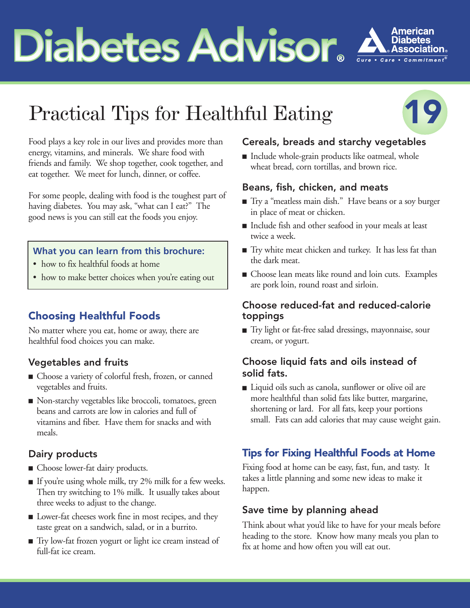# **Diabetes Advisor Advisor**



# Practical Tips for Healthful Eating



Food plays a key role in our lives and provides more than energy, vitamins, and minerals. We share food with friends and family. We shop together, cook together, and eat together. We meet for lunch, dinner, or coffee.

For some people, dealing with food is the toughest part of having diabetes. You may ask, "what can I eat?" The good news is you can still eat the foods you enjoy.

#### **What you can learn from this brochure:**

- how to fix healthful foods at home
- how to make better choices when you're eating out

# **Choosing Healthful Foods**

No matter where you eat, home or away, there are healthful food choices you can make.

# Vegetables and fruits

- **■** Choose a variety of colorful fresh, frozen, or canned vegetables and fruits.
- Non-starchy vegetables like broccoli, tomatoes, green beans and carrots are low in calories and full of vitamins and fiber. Have them for snacks and with meals.

#### Dairy products

- Choose lower-fat dairy products.
- If you're using whole milk, try 2% milk for a few weeks. Then try switching to 1% milk. It usually takes about three weeks to adjust to the change.
- **■** Lower-fat cheeses work fine in most recipes, and they taste great on a sandwich, salad, or in a burrito.
- Try low-fat frozen yogurt or light ice cream instead of full-fat ice cream.

#### Cereals, breads and starchy vegetables

■ Include whole-grain products like oatmeal, whole wheat bread, corn tortillas, and brown rice.

#### Beans, fish, chicken, and meats

- Try a "meatless main dish." Have beans or a soy burger in place of meat or chicken.
- Include fish and other seafood in your meals at least twice a week.
- **■** Try white meat chicken and turkey. It has less fat than the dark meat.
- **■** Choose lean meats like round and loin cuts. Examples are pork loin, round roast and sirloin.

#### Choose reduced-fat and reduced-calorie toppings

**■** Try light or fat-free salad dressings, mayonnaise, sour cream, or yogurt.

#### Choose liquid fats and oils instead of solid fats.

■ Liquid oils such as canola, sunflower or olive oil are more healthful than solid fats like butter, margarine, shortening or lard. For all fats, keep your portions small. Fats can add calories that may cause weight gain.

# **Tips for Fixing Healthful Foods at Home**

Fixing food at home can be easy, fast, fun, and tasty. It takes a little planning and some new ideas to make it happen.

#### Save time by planning ahead

Think about what you'd like to have for your meals before heading to the store. Know how many meals you plan to fix at home and how often you will eat out.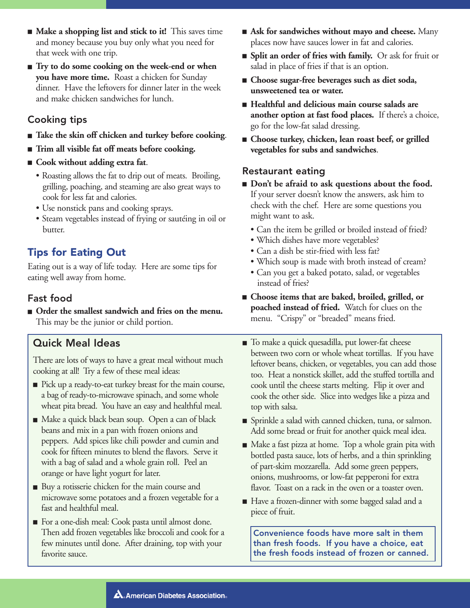- **Make a shopping list and stick to it!** This saves time and money because you buy only what you need for that week with one trip.
- **Try** to do some cooking on the week-end or when **you have more time.** Roast a chicken for Sunday dinner. Have the leftovers for dinner later in the week and make chicken sandwiches for lunch.

#### Cooking tips

- **Take the skin off chicken and turkey before cooking.**
- **■ Trim all visible fat off meats before cooking.**
- **■ Cook without adding extra fat**.
	- Roasting allows the fat to drip out of meats. Broiling, grilling, poaching, and steaming are also great ways to cook for less fat and calories.
	- Use nonstick pans and cooking sprays.
	- Steam vegetables instead of frying or sautéing in oil or butter.

#### **Tips for Eating Out**

Eating out is a way of life today. Here are some tips for eating well away from home.

#### Fast food

■ **Order the smallest sandwich and fries on the menu.** This may be the junior or child portion.

#### Quick Meal Ideas

There are lots of ways to have a great meal without much cooking at all! Try a few of these meal ideas:

- Pick up a ready-to-eat turkey breast for the main course, a bag of ready-to-microwave spinach, and some whole wheat pita bread. You have an easy and healthful meal.
- Make a quick black bean soup. Open a can of black beans and mix in a pan with frozen onions and peppers. Add spices like chili powder and cumin and cook for fifteen minutes to blend the flavors. Serve it with a bag of salad and a whole grain roll. Peel an orange or have light yogurt for later.
- Buy a rotisserie chicken for the main course and microwave some potatoes and a frozen vegetable for a fast and healthful meal.
- For a one-dish meal: Cook pasta until almost done. Then add frozen vegetables like broccoli and cook for a few minutes until done. After draining, top with your favorite sauce.
- **Ask for sandwiches without mayo and cheese.** Many places now have sauces lower in fat and calories.
- **■ Split an order of fries with family.** Or ask for fruit or salad in place of fries if that is an option.
- **■ Choose sugar-free beverages such as diet soda, unsweetened tea or water.**
- **■ Healthful and delicious main course salads are another option at fast food places.** If there's a choice, go for the low-fat salad dressing.
- **Choose turkey, chicken, lean roast beef, or grilled vegetables for subs and sandwiches**.

#### Restaurant eating

- **Don't be afraid to ask questions about the food.** If your server doesn't know the answers, ask him to check with the chef. Here are some questions you might want to ask.
	- Can the item be grilled or broiled instead of fried?
	- Which dishes have more vegetables?
	- Can a dish be stir-fried with less fat?
	- Which soup is made with broth instead of cream?
	- Can you get a baked potato, salad, or vegetables instead of fries?
- **■ Choose items that are baked, broiled, grilled, or poached instead of fried.** Watch for clues on the menu. "Crispy" or "breaded" means fried.
- To make a quick quesadilla, put lower-fat cheese between two corn or whole wheat tortillas. If you have leftover beans, chicken, or vegetables, you can add those too. Heat a nonstick skillet, add the stuffed tortilla and cook until the cheese starts melting. Flip it over and cook the other side. Slice into wedges like a pizza and top with salsa.
- Sprinkle a salad with canned chicken, tuna, or salmon. Add some bread or fruit for another quick meal idea.
- Make a fast pizza at home. Top a whole grain pita with bottled pasta sauce, lots of herbs, and a thin sprinkling of part-skim mozzarella. Add some green peppers, onions, mushrooms, or low-fat pepperoni for extra flavor. Toast on a rack in the oven or a toaster oven.
- Have a frozen-dinner with some bagged salad and a piece of fruit.

Convenience foods have more salt in them than fresh foods. If you have a choice, eat the fresh foods instead of frozen or canned.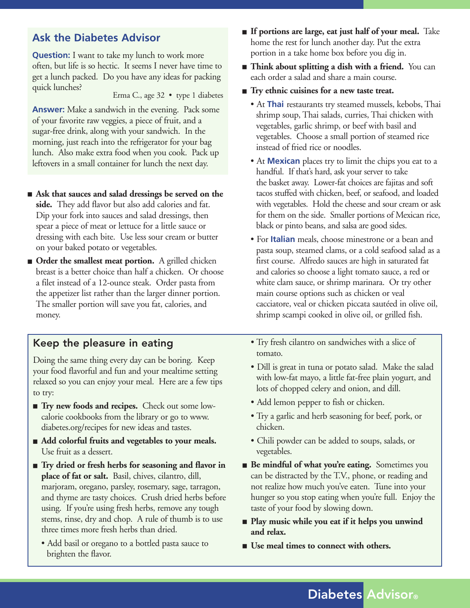### **Ask the Diabetes Advisor**

**Question:** I want to take my lunch to work more often, but life is so hectic. It seems I never have time to get a lunch packed. Do you have any ideas for packing quick lunches? Erma C., age 32 • type 1 diabetes

**Answer:** Make a sandwich in the evening. Pack some of your favorite raw veggies, a piece of fruit, and a sugar-free drink, along with your sandwich. In the morning, just reach into the refrigerator for your bag lunch. Also make extra food when you cook. Pack up leftovers in a small container for lunch the next day.

- **Ask** that sauces and salad dressings be served on the **side.** They add flavor but also add calories and fat. Dip your fork into sauces and salad dressings, then spear a piece of meat or lettuce for a little sauce or dressing with each bite. Use less sour cream or butter on your baked potato or vegetables.
- **Order the smallest meat portion.** A grilled chicken breast is a better choice than half a chicken. Or choose a filet instead of a 12-ounce steak. Order pasta from the appetizer list rather than the larger dinner portion. The smaller portion will save you fat, calories, and money.

#### Keep the pleasure in eating

Doing the same thing every day can be boring. Keep your food flavorful and fun and your mealtime setting relaxed so you can enjoy your meal. Here are a few tips to try:

- **Try new foods and recipes.** Check out some lowcalorie cookbooks from the library or go to www. diabetes.org/recipes for new ideas and tastes.
- **Add colorful fruits and vegetables to your meals.** Use fruit as a dessert.
- **Try dried or fresh herbs for seasoning and flavor in place of fat or salt.** Basil, chives, cilantro, dill, marjoram, oregano, parsley, rosemary, sage, tarragon, and thyme are tasty choices. Crush dried herbs before using. If you're using fresh herbs, remove any tough stems, rinse, dry and chop. A rule of thumb is to use three times more fresh herbs than dried.
	- Add basil or oregano to a bottled pasta sauce to brighten the flavor.
- **■ If portions are large, eat just half of your meal.** Take home the rest for lunch another day. Put the extra portion in a take home box before you dig in.
- **Think about splitting a dish with a friend.** You can each order a salad and share a main course.
- **Try** ethnic cuisines for a new taste treat.
	- At **Thai** restaurants try steamed mussels, kebobs, Thai shrimp soup, Thai salads, curries, Thai chicken with vegetables, garlic shrimp, or beef with basil and vegetables. Choose a small portion of steamed rice instead of fried rice or noodles.
	- At **Mexican** places try to limit the chips you eat to a handful. If that's hard, ask your server to take the basket away. Lower-fat choices are fajitas and soft tacos stuffed with chicken, beef, or seafood, and loaded with vegetables. Hold the cheese and sour cream or ask for them on the side. Smaller portions of Mexican rice, black or pinto beans, and salsa are good sides.
	- For **Italian** meals, choose minestrone or a bean and pasta soup, steamed clams, or a cold seafood salad as a first course. Alfredo sauces are high in saturated fat and calories so choose a light tomato sauce, a red or white clam sauce, or shrimp marinara. Or try other main course options such as chicken or veal cacciatore, veal or chicken piccata sautéed in olive oil, shrimp scampi cooked in olive oil, or grilled fish.
	- Try fresh cilantro on sandwiches with a slice of tomato.
	- Dill is great in tuna or potato salad. Make the salad with low-fat mayo, a little fat-free plain yogurt, and lots of chopped celery and onion, and dill.
	- Add lemon pepper to fish or chicken.
	- Try a garlic and herb seasoning for beef, pork, or chicken.
	- Chili powder can be added to soups, salads, or vegetables.
- **Be mindful of what you're eating.** Sometimes you can be distracted by the T.V., phone, or reading and not realize how much you've eaten. Tune into your hunger so you stop eating when you're full. Enjoy the taste of your food by slowing down.
- **Play music while you eat if it helps you unwind and relax.**
- **Use meal times to connect with others.**